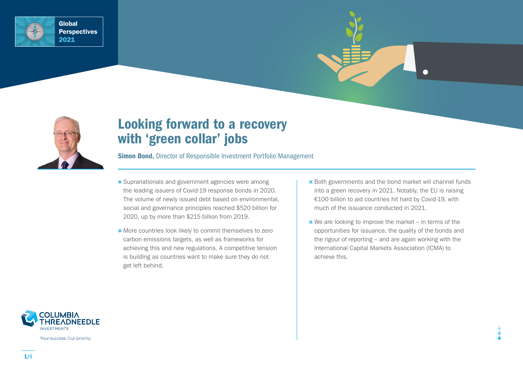



# Looking forward to a recovery with 'green collar' jobs

Simon Bond, Director of Responsible Investment Portfolio Management

- Supranationals and government agencies were among the leading issuers of Covid-19 response bonds in 2020. The volume of newly issued debt based on environmental, social and governance principles reached \$520 billion for 2020, up by more than \$215 billion from 2019.
- More countries look likely to commit themselves to zero carbon emissions targets, as well as frameworks for achieving this and new regulations. A competitive tension is building as countries want to make sure they do not get left behind.
- Both governments and the bond market will channel funds into a green recovery in 2021. Notably, the EU is raising €100 billion to aid countries hit hard by Covid-19, with much of the issuance conducted in 2021.
- $\blacksquare$  We are looking to improve the market in terms of the opportunities for issuance, the quality of the bonds and the rigour of reporting – and are again working with the International Capital Markets Association (ICMA) to achieve this.



Your success. Our priority.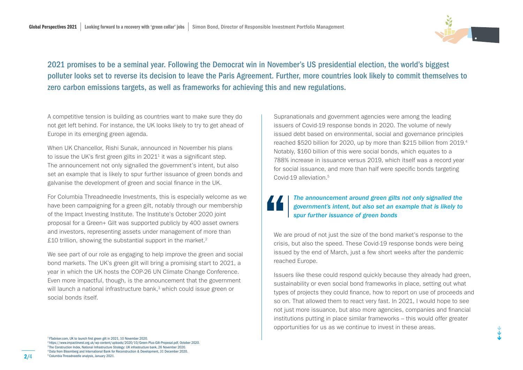

2021 promises to be a seminal year. Following the Democrat win in November's US presidential election, the world's biggest polluter looks set to reverse its decision to leave the Paris Agreement. Further, more countries look likely to commit themselves to zero carbon emissions targets, as well as frameworks for achieving this and new regulations.

A competitive tension is building as countries want to make sure they do not get left behind. For instance, the UK looks likely to try to get ahead of Europe in its emerging green agenda.

When UK Chancellor, Rishi Sunak, announced in November his plans to issue the UK's first green gilts in  $2021<sup>1</sup>$  it was a significant step. The announcement not only signalled the government's intent, but also set an example that is likely to spur further issuance of green bonds and galvanise the development of green and social finance in the UK.

For Columbia Threadneedle Investments, this is especially welcome as we have been campaigning for a green gilt, notably through our membership of the Impact Investing Institute. The Institute's October 2020 joint proposal for a Green+ Gilt was supported publicly by 400 asset owners and investors, representing assets under management of more than £10 trillion, showing the substantial support in the market. $2$ 

We see part of our role as engaging to help improve the green and social bond markets. The UK's green gilt will bring a promising start to 2021, a year in which the UK hosts the COP-26 UN Climate Change Conference. Even more impactful, though, is the announcement that the government will launch a national infrastructure bank,<sup>3</sup> which could issue green or social bonds itself.

Supranationals and government agencies were among the leading issuers of Covid-19 response bonds in 2020. The volume of newly issued debt based on environmental, social and governance principles reached \$520 billion for 2020, up by more than \$215 billion from 2019.4 Notably, \$160 billion of this were social bonds, which equates to a 788% increase in issuance versus 2019, which itself was a record year for social issuance, and more than half were specific bonds targeting Covid-19 alleviation.5

### *The announcement around green gilts not only signalled the government's intent, but also set an example that is likely to spur further issuance of green bonds*

We are proud of not just the size of the bond market's response to the crisis, but also the speed. These Covid-19 response bonds were being issued by the end of March, just a few short weeks after the pandemic reached Europe.

Issuers like these could respond quickly because they already had green, sustainability or even social bond frameworks in place, setting out what types of projects they could finance, how to report on use of proceeds and so on. That allowed them to react very fast. In 2021, I would hope to see not just more issuance, but also more agencies, companies and financial institutions putting in place similar frameworks – this would offer greater opportunities for us as we continue to invest in these areas.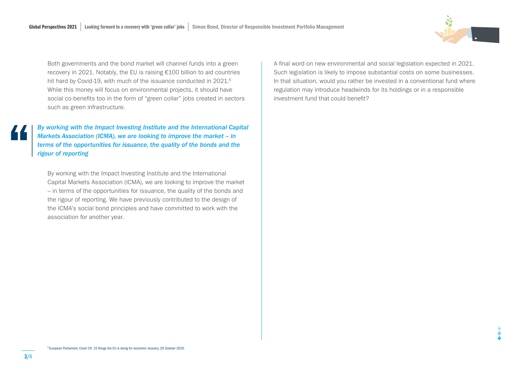Both governments and the bond market will channel funds into a green recovery in 2021. Notably, the EU is raising €100 billion to aid countries hit hard by Covid-19, with much of the issuance conducted in 2021.<sup>6</sup> While this money will focus on environmental projects, it should have social co-benefits too in the form of "green collar" jobs created in sectors such as green infrastructure.

*By working with the Impact Investing Institute and the International Capital Markets Association (ICMA), we are looking to improve the market – in terms of the opportunities for issuance, the quality of the bonds and the rigour of reporting*

By working with the Impact Investing Institute and the International Capital Markets Association (ICMA), we are looking to improve the market – in terms of the opportunities for issuance, the quality of the bonds and the rigour of reporting. We have previously contributed to the design of the ICMA's social bond principles and have committed to work with the association for another year.

A final word on new environmental and social legislation expected in 2021. Such legislation is likely to impose substantial costs on some businesses. In that situation, would you rather be invested in a conventional fund where regulation may introduce headwinds for its holdings or in a responsible investment fund that could benefit?